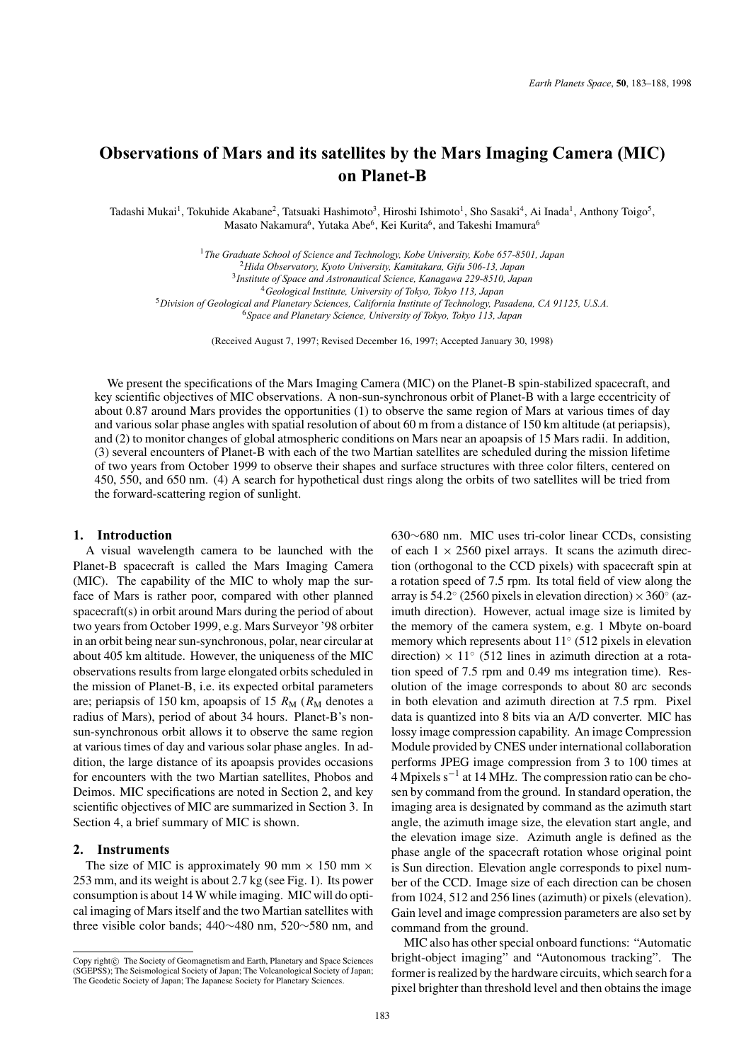# **Observations of Mars and its satellites by the Mars Imaging Camera (MIC) on Planet-B**

Tadashi Mukai<sup>1</sup>, Tokuhide Akabane<sup>2</sup>, Tatsuaki Hashimoto<sup>3</sup>, Hiroshi Ishimoto<sup>1</sup>, Sho Sasaki<sup>4</sup>, Ai Inada<sup>1</sup>, Anthony Toigo<sup>5</sup>, Masato Nakamura<sup>6</sup>, Yutaka Abe<sup>6</sup>, Kei Kurita<sup>6</sup>, and Takeshi Imamura<sup>6</sup>

*The Graduate School of Science and Technology, Kobe University, Kobe 657-8501, Japan Hida Observatory, Kyoto University, Kamitakara, Gifu 506-13, Japan Institute of Space and Astronautical Science, Kanagawa 229-8510, Japan Geological Institute, University of Tokyo, Tokyo 113, Japan Division of Geological and Planetary Sciences, California Institute of Technology, Pasadena, CA 91125, U.S.A. Space and Planetary Science, University of Tokyo, Tokyo 113, Japan*

(Received August 7, 1997; Revised December 16, 1997; Accepted January 30, 1998)

We present the specifications of the Mars Imaging Camera (MIC) on the Planet-B spin-stabilized spacecraft, and key scientific objectives of MIC observations. A non-sun-synchronous orbit of Planet-B with a large eccentricity of about 0.87 around Mars provides the opportunities (1) to observe the same region of Mars at various times of day and various solar phase angles with spatial resolution of about 60 m from a distance of 150 km altitude (at periapsis), and (2) to monitor changes of global atmospheric conditions on Mars near an apoapsis of 15 Mars radii. In addition, (3) several encounters of Planet-B with each of the two Martian satellites are scheduled during the mission lifetime of two years from October 1999 to observe their shapes and surface structures with three color filters, centered on 450, 550, and 650 nm. (4) A search for hypothetical dust rings along the orbits of two satellites will be tried from the forward-scattering region of sunlight.

## **1. Introduction**

A visual wavelength camera to be launched with the Planet-B spacecraft is called the Mars Imaging Camera (MIC). The capability of the MIC to wholy map the surface of Mars is rather poor, compared with other planned spacecraft(s) in orbit around Mars during the period of about two years from October 1999, e.g. Mars Surveyor '98 orbiter in an orbit being near sun-synchronous, polar, near circular at about 405 km altitude. However, the uniqueness of the MIC observations results from large elongated orbits scheduled in the mission of Planet-B, i.e. its expected orbital parameters are; periapsis of 150 km, apoapsis of 15  $R_M$  ( $R_M$  denotes a radius of Mars), period of about 34 hours. Planet-B's nonsun-synchronous orbit allows it to observe the same region at various times of day and various solar phase angles. In addition, the large distance of its apoapsis provides occasions for encounters with the two Martian satellites, Phobos and Deimos. MIC specifications are noted in Section 2, and key scientific objectives of MIC are summarized in Section 3. In Section 4, a brief summary of MIC is shown.

## **2. Instruments**

The size of MIC is approximately 90 mm  $\times$  150 mm  $\times$ 253 mm, and its weight is about 2.7 kg (see Fig. 1). Its power consumption is about 14 W while imaging. MIC will do optical imaging of Mars itself and the two Martian satellites with three visible color bands; 440∼480 nm, 520∼580 nm, and 630∼680 nm. MIC uses tri-color linear CCDs, consisting of each  $1 \times 2560$  pixel arrays. It scans the azimuth direction (orthogonal to the CCD pixels) with spacecraft spin at a rotation speed of 7.5 rpm. Its total field of view along the array is 54.2 $\degree$  (2560 pixels in elevation direction)  $\times$  360 $\degree$  (azimuth direction). However, actual image size is limited by the memory of the camera system, e.g. 1 Mbyte on-board memory which represents about 11◦ (512 pixels in elevation direction)  $\times$  11 $\degree$  (512 lines in azimuth direction at a rotation speed of 7.5 rpm and 0.49 ms integration time). Resolution of the image corresponds to about 80 arc seconds in both elevation and azimuth direction at 7.5 rpm. Pixel data is quantized into 8 bits via an A/D converter. MIC has lossy image compression capability. An image Compression Module provided by CNES under international collaboration performs JPEG image compression from 3 to 100 times at 4 Mpixels s−<sup>1</sup> at 14 MHz. The compression ratio can be chosen by command from the ground. In standard operation, the imaging area is designated by command as the azimuth start angle, the azimuth image size, the elevation start angle, and the elevation image size. Azimuth angle is defined as the phase angle of the spacecraft rotation whose original point is Sun direction. Elevation angle corresponds to pixel number of the CCD. Image size of each direction can be chosen from 1024, 512 and 256 lines (azimuth) or pixels (elevation). Gain level and image compression parameters are also set by command from the ground.

MIC also has other special onboard functions: "Automatic bright-object imaging" and "Autonomous tracking". The former is realized by the hardware circuits, which search for a pixel brighter than threshold level and then obtains the image

Copy right $\odot$  The Society of Geomagnetism and Earth, Planetary and Space Sciences (SGEPSS); The Seismological Society of Japan; The Volcanological Society of Japan; The Geodetic Society of Japan; The Japanese Society for Planetary Sciences.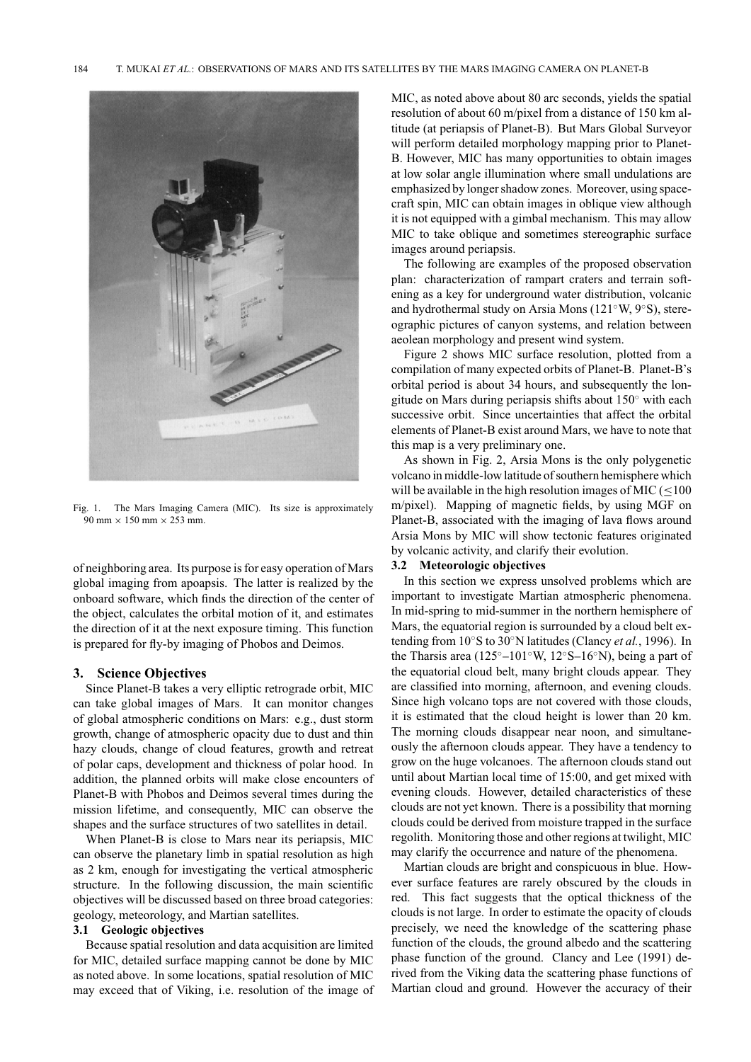

Fig. 1. The Mars Imaging Camera (MIC). Its size is approximately  $90$  mm  $\times$  150 mm  $\times$  253 mm.

of neighboring area. Its purpose is for easy operation of Mars global imaging from apoapsis. The latter is realized by the onboard software, which finds the direction of the center of the object, calculates the orbital motion of it, and estimates the direction of it at the next exposure timing. This function is prepared for fly-by imaging of Phobos and Deimos.

## **3. Science Objectives**

Since Planet-B takes a very elliptic retrograde orbit, MIC can take global images of Mars. It can monitor changes of global atmospheric conditions on Mars: e.g., dust storm growth, change of atmospheric opacity due to dust and thin hazy clouds, change of cloud features, growth and retreat of polar caps, development and thickness of polar hood. In addition, the planned orbits will make close encounters of Planet-B with Phobos and Deimos several times during the mission lifetime, and consequently, MIC can observe the shapes and the surface structures of two satellites in detail.

When Planet-B is close to Mars near its periapsis, MIC can observe the planetary limb in spatial resolution as high as 2 km, enough for investigating the vertical atmospheric structure. In the following discussion, the main scientific objectives will be discussed based on three broad categories: geology, meteorology, and Martian satellites.

## **3.1 Geologic objectives**

Because spatial resolution and data acquisition are limited for MIC, detailed surface mapping cannot be done by MIC as noted above. In some locations, spatial resolution of MIC may exceed that of Viking, i.e. resolution of the image of MIC, as noted above about 80 arc seconds, yields the spatial resolution of about 60 m/pixel from a distance of 150 km altitude (at periapsis of Planet-B). But Mars Global Surveyor will perform detailed morphology mapping prior to Planet-B. However, MIC has many opportunities to obtain images at low solar angle illumination where small undulations are emphasized by longer shadow zones. Moreover, using spacecraft spin, MIC can obtain images in oblique view although it is not equipped with a gimbal mechanism. This may allow MIC to take oblique and sometimes stereographic surface images around periapsis.

The following are examples of the proposed observation plan: characterization of rampart craters and terrain softening as a key for underground water distribution, volcanic and hydrothermal study on Arsia Mons (121◦W, 9◦S), stereographic pictures of canyon systems, and relation between aeolean morphology and present wind system.

Figure 2 shows MIC surface resolution, plotted from a compilation of many expected orbits of Planet-B. Planet-B's orbital period is about 34 hours, and subsequently the longitude on Mars during periapsis shifts about 150◦ with each successive orbit. Since uncertainties that affect the orbital elements of Planet-B exist around Mars, we have to note that this map is a very preliminary one.

As shown in Fig. 2, Arsia Mons is the only polygenetic volcano in middle-low latitude of southern hemisphere which will be available in the high resolution images of MIC ( $\leq$ 100 m/pixel). Mapping of magnetic fields, by using MGF on Planet-B, associated with the imaging of lava flows around Arsia Mons by MIC will show tectonic features originated by volcanic activity, and clarify their evolution.

### **3.2 Meteorologic objectives**

In this section we express unsolved problems which are important to investigate Martian atmospheric phenomena. In mid-spring to mid-summer in the northern hemisphere of Mars, the equatorial region is surrounded by a cloud belt extending from 10◦S to 30◦N latitudes (Clancy *et al.*, 1996). In the Tharsis area (125◦–101◦W, 12◦S–16◦N), being a part of the equatorial cloud belt, many bright clouds appear. They are classified into morning, afternoon, and evening clouds. Since high volcano tops are not covered with those clouds, it is estimated that the cloud height is lower than 20 km. The morning clouds disappear near noon, and simultaneously the afternoon clouds appear. They have a tendency to grow on the huge volcanoes. The afternoon clouds stand out until about Martian local time of 15:00, and get mixed with evening clouds. However, detailed characteristics of these clouds are not yet known. There is a possibility that morning clouds could be derived from moisture trapped in the surface regolith. Monitoring those and other regions at twilight, MIC may clarify the occurrence and nature of the phenomena.

Martian clouds are bright and conspicuous in blue. However surface features are rarely obscured by the clouds in red. This fact suggests that the optical thickness of the clouds is not large. In order to estimate the opacity of clouds precisely, we need the knowledge of the scattering phase function of the clouds, the ground albedo and the scattering phase function of the ground. Clancy and Lee (1991) derived from the Viking data the scattering phase functions of Martian cloud and ground. However the accuracy of their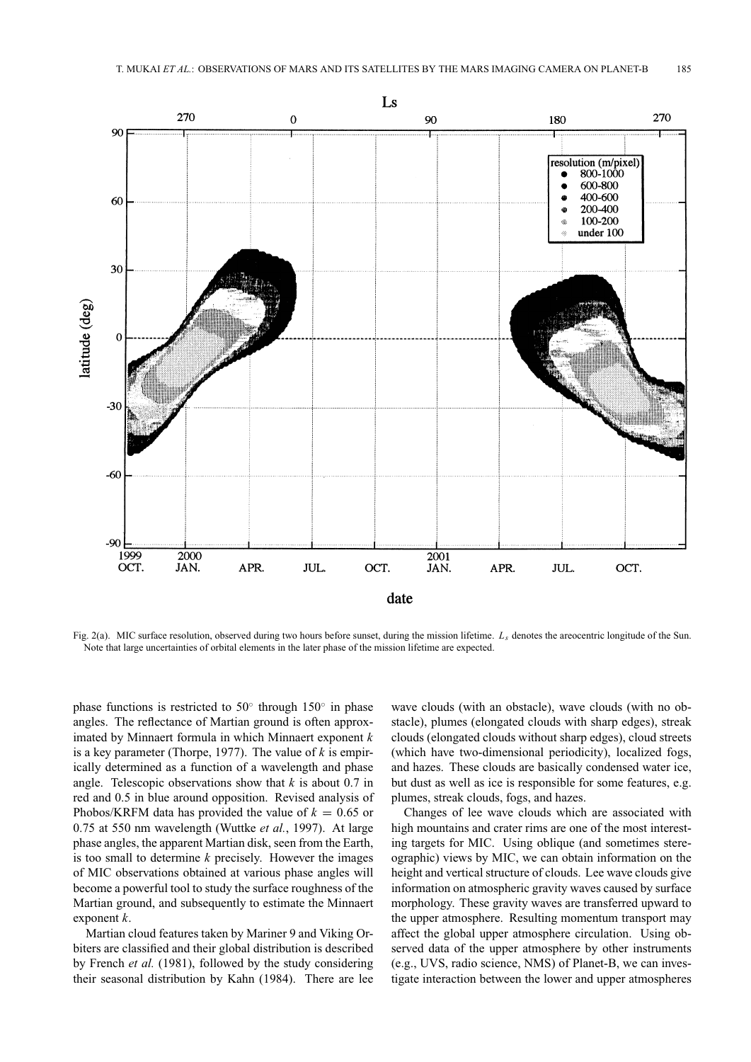

Fig. 2(a). MIC surface resolution, observed during two hours before sunset, during the mission lifetime. *Ls* denotes the areocentric longitude of the Sun. Note that large uncertainties of orbital elements in the later phase of the mission lifetime are expected.

phase functions is restricted to 50 $\degree$  through 150 $\degree$  in phase angles. The reflectance of Martian ground is often approximated by Minnaert formula in which Minnaert exponent *k* is a key parameter (Thorpe, 1977). The value of *k* is empirically determined as a function of a wavelength and phase angle. Telescopic observations show that *k* is about 0.7 in red and 0.5 in blue around opposition. Revised analysis of Phobos/KRFM data has provided the value of  $k = 0.65$  or 0.75 at 550 nm wavelength (Wuttke *et al.*, 1997). At large phase angles, the apparent Martian disk, seen from the Earth, is too small to determine *k* precisely. However the images of MIC observations obtained at various phase angles will become a powerful tool to study the surface roughness of the Martian ground, and subsequently to estimate the Minnaert exponent *k*.

Martian cloud features taken by Mariner 9 and Viking Orbiters are classified and their global distribution is described by French *et al.* (1981), followed by the study considering their seasonal distribution by Kahn (1984). There are lee wave clouds (with an obstacle), wave clouds (with no obstacle), plumes (elongated clouds with sharp edges), streak clouds (elongated clouds without sharp edges), cloud streets (which have two-dimensional periodicity), localized fogs, and hazes. These clouds are basically condensed water ice, but dust as well as ice is responsible for some features, e.g. plumes, streak clouds, fogs, and hazes.

Changes of lee wave clouds which are associated with high mountains and crater rims are one of the most interesting targets for MIC. Using oblique (and sometimes stereographic) views by MIC, we can obtain information on the height and vertical structure of clouds. Lee wave clouds give information on atmospheric gravity waves caused by surface morphology. These gravity waves are transferred upward to the upper atmosphere. Resulting momentum transport may affect the global upper atmosphere circulation. Using observed data of the upper atmosphere by other instruments (e.g., UVS, radio science, NMS) of Planet-B, we can investigate interaction between the lower and upper atmospheres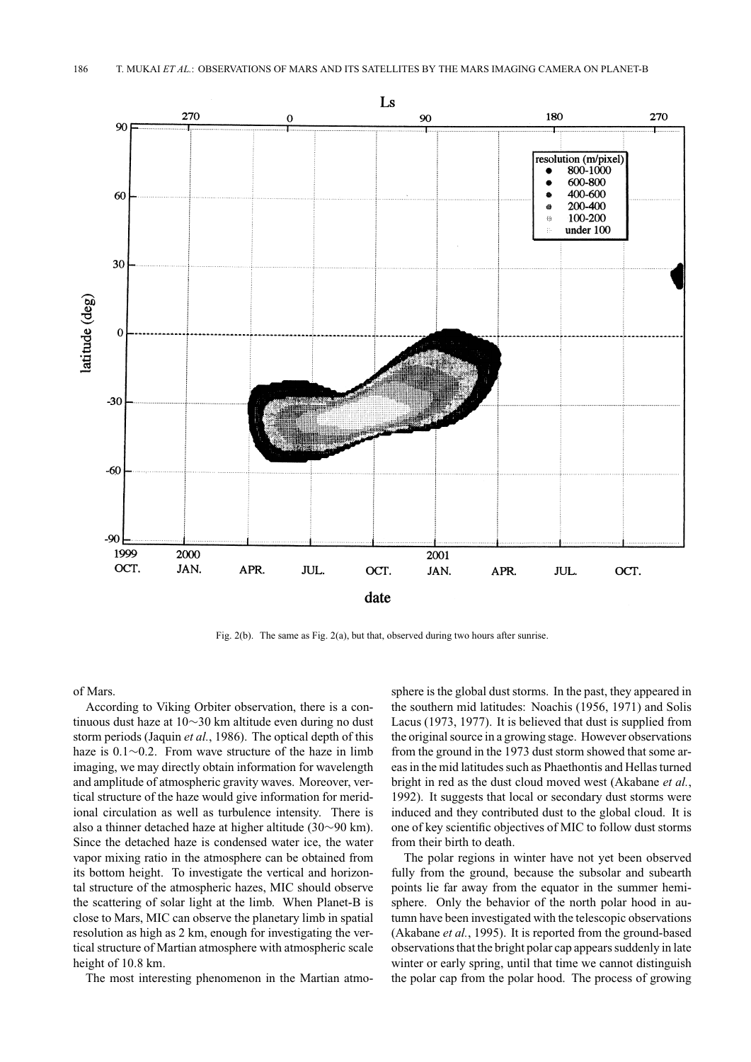

Fig. 2(b). The same as Fig. 2(a), but that, observed during two hours after sunrise.

of Mars.

According to Viking Orbiter observation, there is a continuous dust haze at 10∼30 km altitude even during no dust storm periods (Jaquin *et al.*, 1986). The optical depth of this haze is 0.1∼0.2. From wave structure of the haze in limb imaging, we may directly obtain information for wavelength and amplitude of atmospheric gravity waves. Moreover, vertical structure of the haze would give information for meridional circulation as well as turbulence intensity. There is also a thinner detached haze at higher altitude (30∼90 km). Since the detached haze is condensed water ice, the water vapor mixing ratio in the atmosphere can be obtained from its bottom height. To investigate the vertical and horizontal structure of the atmospheric hazes, MIC should observe the scattering of solar light at the limb. When Planet-B is close to Mars, MIC can observe the planetary limb in spatial resolution as high as 2 km, enough for investigating the vertical structure of Martian atmosphere with atmospheric scale height of 10.8 km.

The most interesting phenomenon in the Martian atmo-

sphere is the global dust storms. In the past, they appeared in the southern mid latitudes: Noachis (1956, 1971) and Solis Lacus (1973, 1977). It is believed that dust is supplied from the original source in a growing stage. However observations from the ground in the 1973 dust storm showed that some areas in the mid latitudes such as Phaethontis and Hellas turned bright in red as the dust cloud moved west (Akabane *et al.*, 1992). It suggests that local or secondary dust storms were induced and they contributed dust to the global cloud. It is one of key scientific objectives of MIC to follow dust storms from their birth to death.

The polar regions in winter have not yet been observed fully from the ground, because the subsolar and subearth points lie far away from the equator in the summer hemisphere. Only the behavior of the north polar hood in autumn have been investigated with the telescopic observations (Akabane *et al.*, 1995). It is reported from the ground-based observations that the bright polar cap appears suddenly in late winter or early spring, until that time we cannot distinguish the polar cap from the polar hood. The process of growing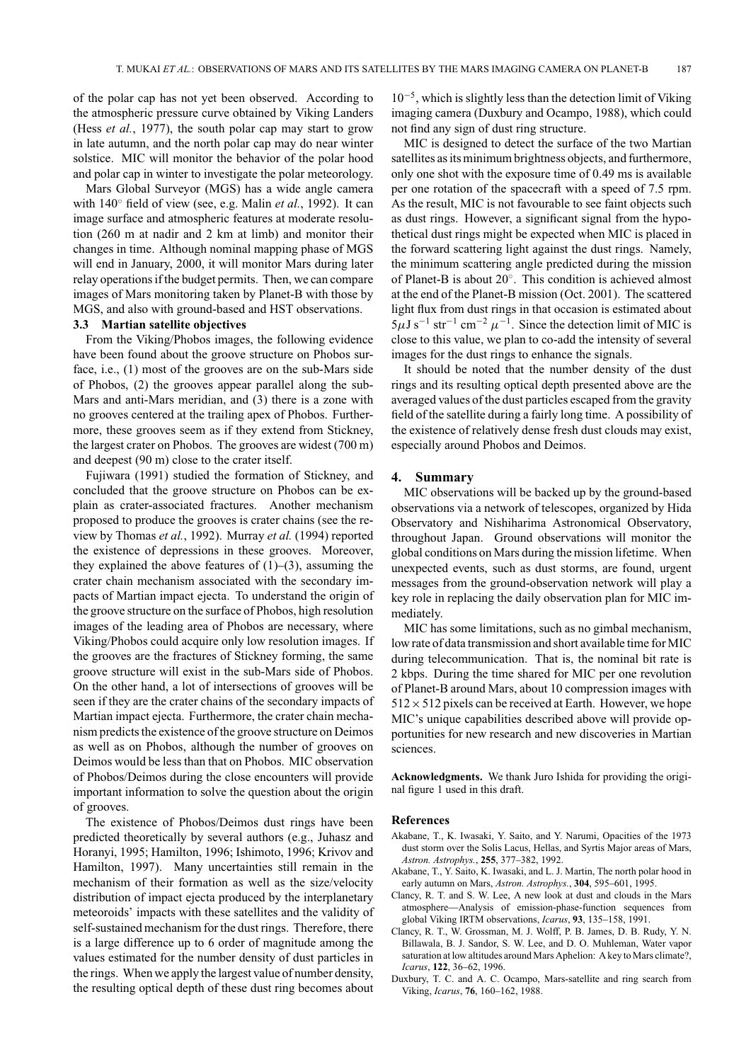of the polar cap has not yet been observed. According to the atmospheric pressure curve obtained by Viking Landers (Hess *et al.*, 1977), the south polar cap may start to grow in late autumn, and the north polar cap may do near winter solstice. MIC will monitor the behavior of the polar hood and polar cap in winter to investigate the polar meteorology.

Mars Global Surveyor (MGS) has a wide angle camera with 140◦ field of view (see, e.g. Malin *et al.*, 1992). It can image surface and atmospheric features at moderate resolution (260 m at nadir and 2 km at limb) and monitor their changes in time. Although nominal mapping phase of MGS will end in January, 2000, it will monitor Mars during later relay operations if the budget permits. Then, we can compare images of Mars monitoring taken by Planet-B with those by MGS, and also with ground-based and HST observations.

# **3.3 Martian satellite objectives**

From the Viking/Phobos images, the following evidence have been found about the groove structure on Phobos surface, i.e., (1) most of the grooves are on the sub-Mars side of Phobos, (2) the grooves appear parallel along the sub-Mars and anti-Mars meridian, and (3) there is a zone with no grooves centered at the trailing apex of Phobos. Furthermore, these grooves seem as if they extend from Stickney, the largest crater on Phobos. The grooves are widest (700 m) and deepest (90 m) close to the crater itself.

Fujiwara (1991) studied the formation of Stickney, and concluded that the groove structure on Phobos can be explain as crater-associated fractures. Another mechanism proposed to produce the grooves is crater chains (see the review by Thomas *et al.*, 1992). Murray *et al.* (1994) reported the existence of depressions in these grooves. Moreover, they explained the above features of  $(1)$ – $(3)$ , assuming the crater chain mechanism associated with the secondary impacts of Martian impact ejecta. To understand the origin of the groove structure on the surface of Phobos, high resolution images of the leading area of Phobos are necessary, where Viking/Phobos could acquire only low resolution images. If the grooves are the fractures of Stickney forming, the same groove structure will exist in the sub-Mars side of Phobos. On the other hand, a lot of intersections of grooves will be seen if they are the crater chains of the secondary impacts of Martian impact ejecta. Furthermore, the crater chain mechanism predicts the existence of the groove structure on Deimos as well as on Phobos, although the number of grooves on Deimos would be less than that on Phobos. MIC observation of Phobos/Deimos during the close encounters will provide important information to solve the question about the origin of grooves.

The existence of Phobos/Deimos dust rings have been predicted theoretically by several authors (e.g., Juhasz and Horanyi, 1995; Hamilton, 1996; Ishimoto, 1996; Krivov and Hamilton, 1997). Many uncertainties still remain in the mechanism of their formation as well as the size/velocity distribution of impact ejecta produced by the interplanetary meteoroids' impacts with these satellites and the validity of self-sustained mechanism for the dust rings. Therefore, there is a large difference up to 6 order of magnitude among the values estimated for the number density of dust particles in the rings. When we apply the largest value of number density, the resulting optical depth of these dust ring becomes about 10−5, which is slightly less than the detection limit of Viking imaging camera (Duxbury and Ocampo, 1988), which could not find any sign of dust ring structure.

MIC is designed to detect the surface of the two Martian satellites as its minimum brightness objects, and furthermore, only one shot with the exposure time of 0.49 ms is available per one rotation of the spacecraft with a speed of 7.5 rpm. As the result, MIC is not favourable to see faint objects such as dust rings. However, a significant signal from the hypothetical dust rings might be expected when MIC is placed in the forward scattering light against the dust rings. Namely, the minimum scattering angle predicted during the mission of Planet-B is about 20◦. This condition is achieved almost at the end of the Planet-B mission (Oct. 2001). The scattered light flux from dust rings in that occasion is estimated about  $5\mu$ J s<sup>-1</sup> str<sup>-1</sup> cm<sup>-2</sup>  $\mu$ <sup>-1</sup>. Since the detection limit of MIC is close to this value, we plan to co-add the intensity of several images for the dust rings to enhance the signals.

It should be noted that the number density of the dust rings and its resulting optical depth presented above are the averaged values of the dust particles escaped from the gravity field of the satellite during a fairly long time. A possibility of the existence of relatively dense fresh dust clouds may exist, especially around Phobos and Deimos.

#### **4. Summary**

MIC observations will be backed up by the ground-based observations via a network of telescopes, organized by Hida Observatory and Nishiharima Astronomical Observatory, throughout Japan. Ground observations will monitor the global conditions on Mars during the mission lifetime. When unexpected events, such as dust storms, are found, urgent messages from the ground-observation network will play a key role in replacing the daily observation plan for MIC immediately.

MIC has some limitations, such as no gimbal mechanism, low rate of data transmission and short available time for MIC during telecommunication. That is, the nominal bit rate is 2 kbps. During the time shared for MIC per one revolution of Planet-B around Mars, about 10 compression images with  $512 \times 512$  pixels can be received at Earth. However, we hope MIC's unique capabilities described above will provide opportunities for new research and new discoveries in Martian sciences.

**Acknowledgments.** We thank Juro Ishida for providing the original figure 1 used in this draft.

#### **References**

- Akabane, T., K. Iwasaki, Y. Saito, and Y. Narumi, Opacities of the 1973 dust storm over the Solis Lacus, Hellas, and Syrtis Major areas of Mars, *Astron. Astrophys.*, **255**, 377–382, 1992.
- Akabane, T., Y. Saito, K. Iwasaki, and L. J. Martin, The north polar hood in early autumn on Mars, *Astron. Astrophys.*, **304**, 595–601, 1995.
- Clancy, R. T. and S. W. Lee, A new look at dust and clouds in the Mars atmosphere—Analysis of emission-phase-function sequences from global Viking IRTM observations, *Icarus*, **93**, 135–158, 1991.
- Clancy, R. T., W. Grossman, M. J. Wolff, P. B. James, D. B. Rudy, Y. N. Billawala, B. J. Sandor, S. W. Lee, and D. O. Muhleman, Water vapor saturation at low altitudes around Mars Aphelion: A key to Mars climate?, *Icarus*, **122**, 36–62, 1996.
- Duxbury, T. C. and A. C. Ocampo, Mars-satellite and ring search from Viking, *Icarus*, **76**, 160–162, 1988.